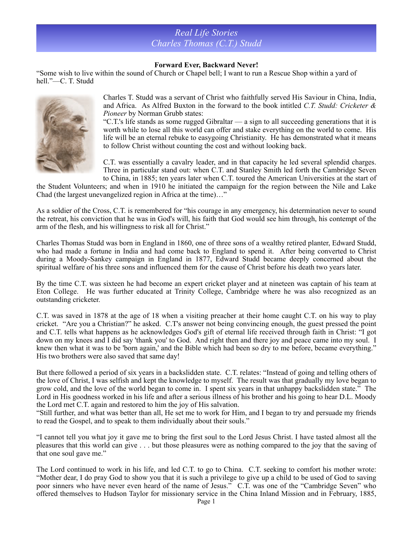## *Real Life Stories Charles Thomas (C.T.) Studd*

## **Forward Ever, Backward Never!**

"Some wish to live within the sound of Church or Chapel bell; I want to run a Rescue Shop within a yard of hell."—C. T. Studd



Charles T. Studd was a servant of Christ who faithfully served His Saviour in China, India, and Africa. As Alfred Buxton in the forward to the book intitled *C.T. Studd: Cricketer & Pioneer* by Norman Grubb states:

"C.T.'s life stands as some rugged Gibraltar — a sign to all succeeding generations that it is worth while to lose all this world can offer and stake everything on the world to come. His life will be an eternal rebuke to easygoing Christianity. He has demonstrated what it means to follow Christ without counting the cost and without looking back.

C.T. was essentially a cavalry leader, and in that capacity he led several splendid charges. Three in particular stand out: when C.T. and Stanley Smith led forth the Cambridge Seven to China, in 1885; ten years later when C.T. toured the American Universities at the start of

the Student Volunteers; and when in 1910 he initiated the campaign for the region between the Nile and Lake Chad (the largest unevangelized region in Africa at the time)…"

As a soldier of the Cross, C.T. is remembered for "his courage in any emergency, his determination never to sound the retreat, his conviction that he was in God's will, his faith that God would see him through, his contempt of the arm of the flesh, and his willingness to risk all for Christ."

Charles Thomas Studd was born in England in 1860, one of three sons of a wealthy retired planter, Edward Studd, who had made a fortune in India and had come back to England to spend it. After being converted to Christ during a Moody-Sankey campaign in England in 1877, Edward Studd became deeply concerned about the spiritual welfare of his three sons and influenced them for the cause of Christ before his death two years later.

By the time C.T. was sixteen he had become an expert cricket player and at nineteen was captain of his team at Eton College. He was further educated at Trinity College, Cambridge where he was also recognized as an outstanding cricketer.

C.T. was saved in 1878 at the age of 18 when a visiting preacher at their home caught C.T. on his way to play cricket. "Are you a Christian?" he asked. C.T's answer not being convincing enough, the guest pressed the point and C.T. tells what happens as he acknowledges God's gift of eternal life received through faith in Christ: "I got down on my knees and I did say 'thank you' to God. And right then and there joy and peace came into my soul. I knew then what it was to be 'born again,' and the Bible which had been so dry to me before, became everything." His two brothers were also saved that same day!

But there followed a period of six years in a backslidden state. C.T. relates: "Instead of going and telling others of the love of Christ, I was selfish and kept the knowledge to myself. The result was that gradually my love began to grow cold, and the love of the world began to come in. I spent six years in that unhappy backslidden state." The Lord in His goodness worked in his life and after a serious illness of his brother and his going to hear D.L. Moody the Lord met C.T. again and restored to him the joy of His salvation.

"Still further, and what was better than all, He set me to work for Him, and I began to try and persuade my friends to read the Gospel, and to speak to them individually about their souls."

"I cannot tell you what joy it gave me to bring the first soul to the Lord Jesus Christ. I have tasted almost all the pleasures that this world can give . . . but those pleasures were as nothing compared to the joy that the saving of that one soul gave me."

The Lord continued to work in his life, and led C.T. to go to China. C.T. seeking to comfort his mother wrote: "Mother dear, I do pray God to show you that it is such a privilege to give up a child to be used of God to saving poor sinners who have never even heard of the name of Jesus." C.T. was one of the "Cambridge Seven" who offered themselves to Hudson Taylor for missionary service in the China Inland Mission and in February, 1885,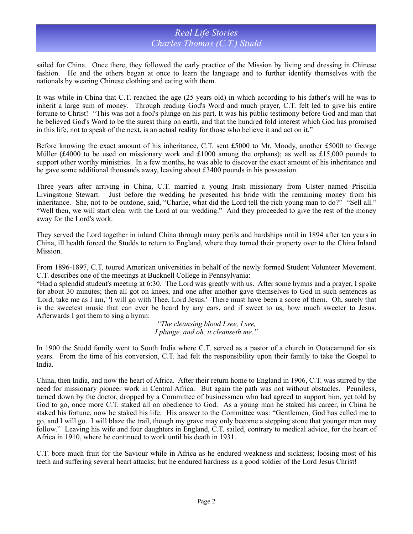## *Real Life Stories Charles Thomas (C.T.) Studd*

sailed for China. Once there, they followed the early practice of the Mission by living and dressing in Chinese fashion. He and the others began at once to learn the language and to further identify themselves with the nationals by wearing Chinese clothing and eating with them.

It was while in China that C.T. reached the age (25 years old) in which according to his father's will he was to inherit a large sum of money. Through reading God's Word and much prayer, C.T. felt led to give his entire fortune to Christ! "This was not a fool's plunge on his part. It was his public testimony before God and man that he believed God's Word to be the surest thing on earth, and that the hundred fold interest which God has promised in this life, not to speak of the next, is an actual reality for those who believe it and act on it."

Before knowing the exact amount of his inheritance, C.T. sent £5000 to Mr. Moody, another £5000 to George Müller (£4000 to be used on missionary work and £1000 among the orphans); as well as £15,000 pounds to support other worthy ministries. In a few months, he was able to discover the exact amount of his inheritance and he gave some additional thousands away, leaving about £3400 pounds in his possession.

Three years after arriving in China, C.T. married a young Irish missionary from Ulster named Priscilla Livingstone Stewart. Just before the wedding he presented his bride with the remaining money from his inheritance. She, not to be outdone, said, "Charlie, what did the Lord tell the rich young man to do?" "Sell all." "Well then, we will start clear with the Lord at our wedding." And they proceeded to give the rest of the money away for the Lord's work.

They served the Lord together in inland China through many perils and hardships until in 1894 after ten years in China, ill health forced the Studds to return to England, where they turned their property over to the China Inland Mission.

From 1896-1897, C.T. toured American universities in behalf of the newly formed Student Volunteer Movement. C.T. describes one of the meetings at Bucknell College in Pennsylvania:

"Had a splendid student's meeting at 6:30. The Lord was greatly with us. After some hymns and a prayer, I spoke for about 30 minutes; then all got on knees, and one after another gave themselves to God in such sentences as 'Lord, take me as I am,' 'I will go with Thee, Lord Jesus.' There must have been a score of them. Oh, surely that is the sweetest music that can ever be heard by any ears, and if sweet to us, how much sweeter to Jesus. Afterwards I got them to sing a hymn:

> *"The cleansing blood I see, I see, I plunge, and oh, it cleanseth me."*

In 1900 the Studd family went to South India where C.T. served as a pastor of a church in Ootacamund for six years. From the time of his conversion, C.T. had felt the responsibility upon their family to take the Gospel to India.

China, then India, and now the heart of Africa. After their return home to England in 1906, C.T. was stirred by the need for missionary pioneer work in Central Africa. But again the path was not without obstacles. Penniless, turned down by the doctor, dropped by a Committee of businessmen who had agreed to support him, yet told by God to go, once more C.T. staked all on obedience to God. As a young man he staked his career, in China he staked his fortune, now he staked his life. His answer to the Committee was: "Gentlemen, God has called me to go, and I will go. I will blaze the trail, though my grave may only become a stepping stone that younger men may follow." Leaving his wife and four daughters in England, C.T. sailed, contrary to medical advice, for the heart of Africa in 1910, where he continued to work until his death in 1931.

C.T. bore much fruit for the Saviour while in Africa as he endured weakness and sickness; loosing most of his teeth and suffering several heart attacks; but he endured hardness as a good soldier of the Lord Jesus Christ!